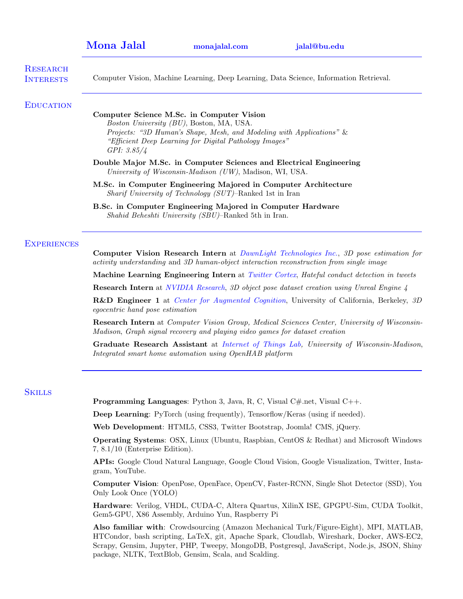| <b>Mona Jalal</b> |  |  |
|-------------------|--|--|
|                   |  |  |

[Mona Jalal](https://www.linkedin.com/in/mona-jalal) [monajalal.com](http://monajalal.com) [jalal@bu.edu](mailto:jalal@bu.edu)

| <b>RESEARCH</b><br><b>INTERESTS</b> | Computer Vision, Machine Learning, Deep Learning, Data Science, Information Retrieval.                                                                                                                                                   |
|-------------------------------------|------------------------------------------------------------------------------------------------------------------------------------------------------------------------------------------------------------------------------------------|
| <b>EDUCATION</b>                    | Computer Science M.Sc. in Computer Vision<br>Boston University (BU), Boston, MA, USA.<br>Projects: "3D Human's Shape, Mesh, and Modeling with Applications" &<br>"Efficient Deep Learning for Digital Pathology Images"<br>GPI: $3.85/4$ |
|                                     | Double Major M.Sc. in Computer Sciences and Electrical Engineering<br>University of Wisconsin-Madison (UW), Madison, WI, USA.                                                                                                            |
|                                     | M.Sc. in Computer Engineering Majored in Computer Architecture<br><i>Sharif University of Technology (SUT)</i> -Ranked 1st in Iran                                                                                                       |
|                                     | B.Sc. in Computer Engineering Majored in Computer Hardware<br>Shahid Beheshti University (SBU)–Ranked 5th in Iran.                                                                                                                       |
| <b>EXPERIENCES</b>                  | Computer Vision Research Intern at DawnLight Technologies Inc., 3D pose estimation for<br>activity understanding and 3D human-object interaction reconstruction from single image                                                        |
|                                     | Machine Learning Engineering Intern at Twitter Cortex, Hateful conduct detection in tweets                                                                                                                                               |
|                                     | <b>Research Intern</b> at <i>NVIDIA Research</i> , 3D object pose dataset creation using Unreal Engine 4                                                                                                                                 |
|                                     | <b>R&amp;D</b> Engineer 1 at Center for Augmented Cognition, University of California, Berkeley, 3D<br>egocentric hand pose estimation                                                                                                   |
|                                     | <b>Research Intern</b> at <i>Computer Vision Group, Medical Sciences Center, University of Wisconsin-</i><br>Madison, Graph signal recovery and playing video games for dataset creation                                                 |
|                                     | Graduate Research Assistant at Internet of Things Lab, University of Wisconsin-Madison,<br>Integrated smart home automation using OpenHAB platform                                                                                       |
| <b>SKILLS</b>                       |                                                                                                                                                                                                                                          |
|                                     | <b>Programming Languages:</b> Python 3, Java, R, C, Visual C#.net, Visual C++.                                                                                                                                                           |
|                                     | <b>Deep Learning:</b> PyTorch (using frequently), Tensorflow/Keras (using if needed).                                                                                                                                                    |
|                                     | Web Development: HTML5, CSS3, Twitter Bootstrap, Joomla! CMS, jQuery.                                                                                                                                                                    |
|                                     | <b>Operating Systems:</b> OSX, Linux (Ubuntu, Raspbian, CentOS & Redhat) and Microsoft Windows<br>$7, 8.1/10$ (Enterprise Edition).                                                                                                      |
|                                     | APIs: Google Cloud Natural Language, Google Cloud Vision, Google Visualization, Twitter, Insta-<br>gram, YouTube.                                                                                                                        |
|                                     | <b>Computer Vision:</b> OpenPose, OpenFace, OpenCV, Faster-RCNN, Single Shot Detector (SSD), You<br>Only Look Once (YOLO)                                                                                                                |

Hardware: Verilog, VHDL, CUDA-C, Altera Quartus, XilinX ISE, GPGPU-Sim, CUDA Toolkit, Gem5-GPU, X86 Assembly, Arduino Yun, Raspberry Pi

Also familiar with: Crowdsourcing (Amazon Mechanical Turk/Figure-Eight), MPI, MATLAB, HTCondor, bash scripting, LaTeX, git, Apache Spark, Cloudlab, Wireshark, Docker, AWS-EC2, Scrapy, Gensim, Jupyter, PHP, Tweepy, MongoDB, Postgresql, JavaScript, Node.js, JSON, Shiny package, NLTK, TextBlob, Gensim, Scala, and Scalding.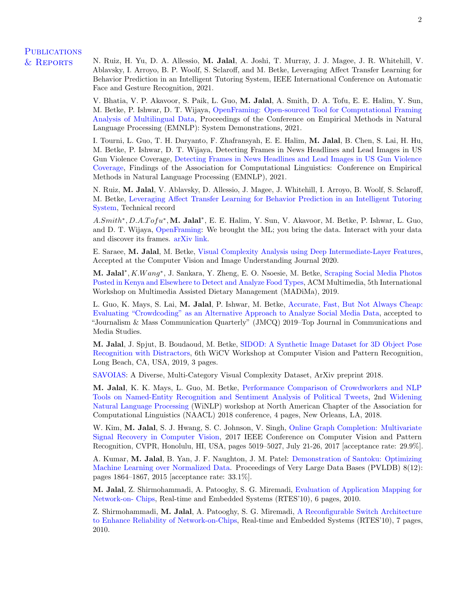### **PUBLICATIONS**

& Reports N. Ruiz, H. Yu, D. A. Allessio, M. Jalal, A. Joshi, T. Murray, J. J. Magee, J. R. Whitehill, V. Ablavsky, I. Arroyo, B. P. Woolf, S. Sclaroff, and M. Betke, Leveraging Affect Transfer Learning for Behavior Prediction in an Intelligent Tutoring System, IEEE International Conference on Automatic Face and Gesture Recognition, 2021.

> V. Bhatia, V. P. Akavoor, S. Paik, L. Guo, M. Jalal, A. Smith, D. A. Tofu, E. E. Halim, Y. Sun, M. Betke, P. Ishwar, D. T. Wijaya, [OpenFraming: Open-sourced Tool for Computational Framing](https://aclanthology.org/2021.emnlp-demo.28.pdf) [Analysis of Multilingual Data,](https://aclanthology.org/2021.emnlp-demo.28.pdf) Proceedings of the Conference on Empirical Methods in Natural Language Processing (EMNLP): System Demonstrations, 2021.

> I. Tourni, L. Guo, T. H. Daryanto, F. Zhafransyah, E. E. Halim, M. Jalal, B. Chen, S. Lai, H. Hu, M. Betke, P. Ishwar, D. T. Wijaya, Detecting Frames in News Headlines and Lead Images in US Gun Violence Coverage, [Detecting Frames in News Headlines and Lead Images in US Gun Violence](https://aclanthology.org/2021.findings-emnlp.339.pdf) [Coverage,](https://aclanthology.org/2021.findings-emnlp.339.pdf) Findings of the Association for Computational Linguistics: Conference on Empirical Methods in Natural Language Processing (EMNLP), 2021.

> N. Ruiz, M. Jalal, V. Ablavsky, D. Allessio, J. Magee, J. Whitehill, I. Arroyo, B. Woolf, S. Sclaroff, M. Betke, [Leveraging Affect Transfer Learning for Behavior Prediction in an Intelligent Tutoring](https://arxiv.org/pdf/2002.05242.pdf) [System,](https://arxiv.org/pdf/2002.05242.pdf) Technical record

> A.Smith<sup>\*</sup>, D.A.Tofu<sup>\*</sup>, M. Jalal<sup>\*</sup>, E. E. Halim, Y. Sun, V. Akavoor, M. Betke, P. Ishwar, L. Guo, and D. T. Wijaya, [OpenFraming:](http://www.openframing.org) We brought the ML; you bring the data. Interact with your data and discover its frames. [arXiv link.](https://arxiv.org/pdf/2008.06974.pdf)

> E. Saraee, M. Jalal, M. Betke, [Visual Complexity Analysis using Deep Intermediate-Layer Features,](https://www.sciencedirect.com/science/article/pii/S1077314220300333) Accepted at the Computer Vision and Image Understanding Journal 2020.

> M. Jalal<sup>\*</sup>, *K.Wang*<sup>\*</sup>, J. Sankara, Y. Zheng, E. O. Nsoesie, M. Betke, [Scraping Social Media Photos](https://dl.acm.org/citation.cfm?id=3357170) [Posted in Kenya and Elsewhere to Detect and Analyze Food Types,](https://dl.acm.org/citation.cfm?id=3357170) ACM Multimedia, 5th International Workshop on Multimedia Assisted Dietary Management (MADiMa), 2019.

> L. Guo, K. Mays, S. Lai, M. Jalal, P. Ishwar, M. Betke, [Accurate, Fast, But Not Always Cheap:](https://journals.sagepub.com/doi/abs/10.1177/1077699019891437) [Evaluating "Crowdcoding" as an Alternative Approach to Analyze Social Media Data,](https://journals.sagepub.com/doi/abs/10.1177/1077699019891437) accepted to "Journalism & Mass Communication Quarterly" (JMCQ) 2019–Top Journal in Communications and Media Studies.

> M. Jalal, J. Spjut, B. Boudaoud, M. Betke, [SIDOD: A Synthetic Image Dataset for 3D Object Pose](https://research.nvidia.com/publication/2019-06_SIDOD%3A-A-Synthetic) [Recognition with Distractors,](https://research.nvidia.com/publication/2019-06_SIDOD%3A-A-Synthetic) 6th WiCV Workshop at Computer Vision and Pattern Recognition, Long Beach, CA, USA, 2019, 3 pages.

[SAVOIAS:](https://arxiv.org/pdf/1810.01771v1.pdf) A Diverse, Multi-Category Visual Complexity Dataset, ArXiv preprint 2018.

M. Jalal, K. K. Mays, L. Guo, M. Betke, [Performance Comparison of Crowdworkers and NLP](https://arxiv.org/abs/2002.04181?context=cs.LG) [Tools on Named-Entity Recognition and Sentiment Analysis of Political Tweets,](https://arxiv.org/abs/2002.04181?context=cs.LG) 2nd [Widening](https://www.aclweb.org/portal/content/2nd-winlp-workshop-widening-nlp) [Natural Language Processing](https://www.aclweb.org/portal/content/2nd-winlp-workshop-widening-nlp) (WiNLP) workshop at North American Chapter of the Association for Computational Linguistics (NAACL) 2018 conference, 4 pages, New Orleans, LA, 2018.

W. Kim, M. Jalal, S. J. Hwang, S. C. Johnson, V. Singh, [Online Graph Completion: Multivariate](http://openaccess.thecvf.com/content_cvpr_2017/papers/Kim_Online_Graph_Completion_CVPR_2017_paper.pdf) [Signal Recovery in Computer Vision,](http://openaccess.thecvf.com/content_cvpr_2017/papers/Kim_Online_Graph_Completion_CVPR_2017_paper.pdf) 2017 IEEE Conference on Computer Vision and Pattern Recognition, CVPR, Honolulu, HI, USA, pages 5019–5027, July 21-26, 2017 [acceptance rate: 29.9%].

A. Kumar, M. Jalal, B. Yan, J. F. Naughton, J. M. Patel: [Demonstration of Santoku: Optimizing](http://www.vldb.org/pvldb/vol8/p1864-kumar.pdf) [Machine Learning over Normalized Data.](http://www.vldb.org/pvldb/vol8/p1864-kumar.pdf) Proceedings of Very Large Data Bases (PVLDB) 8(12): pages 1864–1867, 2015 [acceptance rate: 33.1%].

M. Jalal, Z. Shirmohammadi, A. Patooghy, S. G. Miremadi, [Evaluation of Application Mapping for](http://connection.ebscohost.com/c/articles/65648209/evaluation-application-mapping-network-on-chips) [Network-on- Chips,](http://connection.ebscohost.com/c/articles/65648209/evaluation-application-mapping-network-on-chips) Real-time and Embedded Systems (RTES'10), 6 pages, 2010.

Z. Shirmohammadi, M. Jalal, A. Patooghy, S. G. Miremadi, [A Reconfigurable Switch Architecture](http://connection.ebscohost.com/c/articles/65648201/reconfigurable-switch-architecture-enhance-reliability-network-on-chips) [to Enhance Reliability of Network-on-Chips,](http://connection.ebscohost.com/c/articles/65648201/reconfigurable-switch-architecture-enhance-reliability-network-on-chips) Real-time and Embedded Systems (RTES'10), 7 pages, 2010.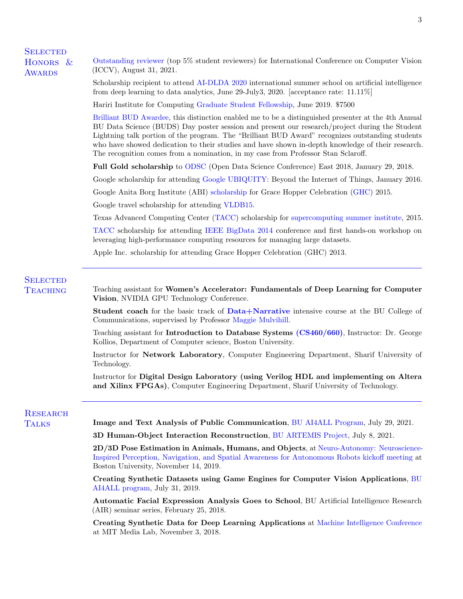**SELECTED** HONORS<sub>&</sub> **AWARDS** 

[Outstanding reviewer](https://iccv2021.thecvf.com/outstanding-reviewers) (top 5% student reviewers) for International Conference on Computer Vision (ICCV), August 31, 2021.

Scholarship recipient to attend [AI-DLDA 2020](https://www.ip4fvg.it/summer-school/) international summer school on artificial intelligence from deep learning to data analytics, June 29-July3, 2020. [acceptance rate: 11.11%]

Hariri Institute for Computing [Graduate Student Fellowship,](http://www.bu.edu/hic/people-2/fellows/gsf-pd-fellows/) June 2019. \$7500

[Brilliant BUD Awardee,](https://www.bu.edu/datascience/buds2019/) this distinction enabled me to be a distinguished presenter at the 4th Annual BU Data Science (BUDS) Day poster session and present our research/project during the Student Lightning talk portion of the program. The "Brilliant BUD Award" recognizes outstanding students who have showed dedication to their studies and have shown in-depth knowledge of their research. The recognition comes from a nomination, in my case from Professor Stan Sclaroff.

Full Gold scholarship to [ODSC](https://odsc.com/boston) (Open Data Science Conference) East 2018, January 29, 2018.

Google scholarship for attending [Google UBIQUITY:](https://ubiquity.withgoogle.com/) Beyond the Internet of Things, January 2016.

Google Anita Borg Institute (ABI) [scholarship](https://ghc.anitab.org/scholars/2015-scholars/jalal-mona-app3006s1/) for Grace Hopper Celebration [\(GHC\)](http://gracehopper.org/) 2015.

Google travel scholarship for attending [VLDB15.](http://www.vldb.org/2015/)

Texas Advanced Computing Center [\(TACC\)](https://www.tacc.utexas.edu/) scholarship for [supercomputing summer institute,](https://portal.tacc.utexas.edu/training/summer-institute) 2015.

[TACC](https://www.tacc.utexas.edu/) scholarship for attending [IEEE BigData 2014](https://www.tacc.utexas.edu/news/events/2014/ieee/managing-large-datasets) conference and first hands-on workshop on leveraging high-performance computing resources for managing large datasets.

Apple Inc. scholarship for attending Grace Hopper Celebration (GHC) 2013.

# **SELECTED**

TEACHING Teaching assistant for Women's Accelerator: Fundamentals of Deep Learning for Computer Vision, NVIDIA GPU Technology Conference.

> Student coach for the basic track of [Data+Narrative](https://combeyond.bu.edu/workshop/data-narrative/) intensive course at the BU College of Communications, supervised by Professor [Maggie Mulvihill.](http://www.bu.edu/com/profile/maggie-mulvihill/)

> Teaching assistant for Introduction to Database Systems [\(CS460/660\)](http://www.cs.bu.edu/faculty/gkollios/cs460f17/), Instructor: Dr. George Kollios, Department of Computer science, Boston University.

> Instructor for Network Laboratory, Computer Engineering Department, Sharif University of Technology.

> Instructor for Digital Design Laboratory (using Verilog HDL and implementing on Altera and Xilinx FPGAs), Computer Engineering Department, Sharif University of Technology.

# **RESEARCH**

Talks Image and Text Analysis of Public Communication, [BU AI4ALL Program,](https://www.bu.edu/lernet/AI4ALL/) July 29, 2021.

3D Human-Object Interaction Reconstruction, [BU ARTEMIS Project,](https://www.bu.edu/lernet/artemis/) July 8, 2021.

2D/3D Pose Estimation in Animals, Humans, and Objects, at [Neuro-Autonomy: Neuroscience-](http://sites.bu.edu/neuroautonomy/kickoff-meeting-agenda/)[Inspired Perception, Navigation, and Spatial Awareness for Autonomous Robots kickoff meeting](http://sites.bu.edu/neuroautonomy/kickoff-meeting-agenda/) at Boston University, November 14, 2019.

Creating Synthetic Datasets using Game Engines for Computer Vision Applications, [BU](https://www.bu.edu/lernet/AI4ALL/overview.html) [AI4ALL program,](https://www.bu.edu/lernet/AI4ALL/overview.html) July 31, 2019.

Automatic Facial Expression Analysis Goes to School, BU Artificial Intelligence Research (AIR) seminar series, February 25, 2018.

Creating Synthetic Data for Deep Learning Applications at [Machine Intelligence Conference](https://machineintelligence.cc/schedule) at MIT Media Lab, November 3, 2018.